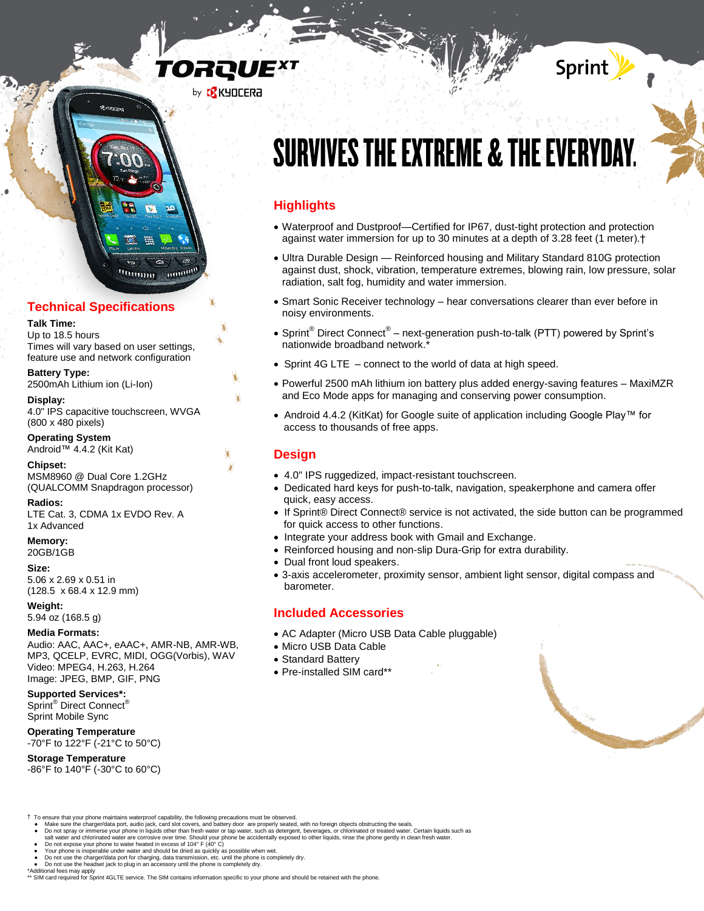# TORQUE<sup>x</sup>





# **Technical Specifications**

#### **Talk Time:**

l

Up to 18.5 hours Times will vary based on user settings, feature use and network configuration

**Battery Type:** 2500mAh Lithium ion (Li-Ion)

**Display:** 4.0" IPS capacitive touchscreen, WVGA (800 x 480 pixels)

**Operating System** Android™ 4.4.2 (Kit Kat)

**Chipset:** MSM8960 @ Dual Core 1.2GHz (QUALCOMM Snapdragon processor)

**Radios:** LTE Cat. 3, CDMA 1x EVDO Rev. A 1x Advanced

### **Memory:**

20GB/1GB

**Size:** 

5.06 x 2.69 x 0.51 in (128.5 x 68.4 x 12.9 mm)

# **Weight:**

5.94 oz (168.5 g)

#### **Media Formats:**

Audio: AAC, AAC+, eAAC+, AMR-NB, AMR-WB, MP3, QCELP, EVRC, MIDI, OGG(Vorbis), WAV Video: MPEG4, H.263, H.264 Image: JPEG, BMP, GIF, PNG

# **Supported Services\*:**

Sprint® Direct Connect® Sprint Mobile Sync

#### **Operating Temperature**

-70°F to 122°F (-21°C to 50°C)

# **Storage Temperature**

-86°F to 140°F (-30°C to 60°C)

# **SURVIVES THE EXTREME & THE EVERYDAY.**

Sprint

# **Highlights**

- Waterproof and Dustproof—Certified for IP67, dust-tight protection and protection against water immersion for up to 30 minutes at a depth of 3.28 feet (1 meter).†
- Ultra Durable Design Reinforced housing and Military Standard 810G protection against dust, shock, vibration, temperature extremes, blowing rain, low pressure, solar radiation, salt fog, humidity and water immersion.
- Smart Sonic Receiver technology hear conversations clearer than ever before in noisy environments.
- Sprint<sup>®</sup> Direct Connect<sup>®</sup> next-generation push-to-talk (PTT) powered by Sprint's nationwide broadband network.\*
- Sprint 4G LTE connect to the world of data at high speed.
- Powerful 2500 mAh lithium ion battery plus added energy-saving features MaxiMZR and Eco Mode apps for managing and conserving power consumption.
- Android 4.4.2 (KitKat) for Google suite of application including Google Play™ for access to thousands of free apps.

# **Design**

- 4.0" IPS ruggedized, impact-resistant touchscreen.
- Dedicated hard keys for push-to-talk, navigation, speakerphone and camera offer quick, easy access.
- If Sprint® Direct Connect® service is not activated, the side button can be programmed for quick access to other functions.
- Integrate your address book with Gmail and Exchange.
- Reinforced housing and non-slip Dura-Grip for extra durability.
- Dual front loud speakers.
- 3-axis accelerometer, proximity sensor, ambient light sensor, digital compass and barometer.

# **Included Accessories**

- AC Adapter (Micro USB Data Cable pluggable)
- Micro USB Data Cable
- Standard Battery
- Pre-installed SIM card\*\*

- $\dagger$  To ensure that your phone maintains waterproof capability, the following precautions must be observed.
	- Make sure the charger/data port, audio jack, card slot covers, and battery door are properly seated, with no foreign objects obstructing the seals.<br>By not spray or immerse your phone in liquids other than fresh water or ta
	-
	-
	- Your phone is inoperable under water and should be dried as quickly as possible when wet.<br>● Do not use the charger/data port for charging, data transmission, etc. unitl the phone is completely dry.<br>● Do not use the h
	-

\*Additional fees may apply \*\* SIM card required for Sprint 4GLTE service. The SIM contains information specific to your phone and should be retained with the phone.